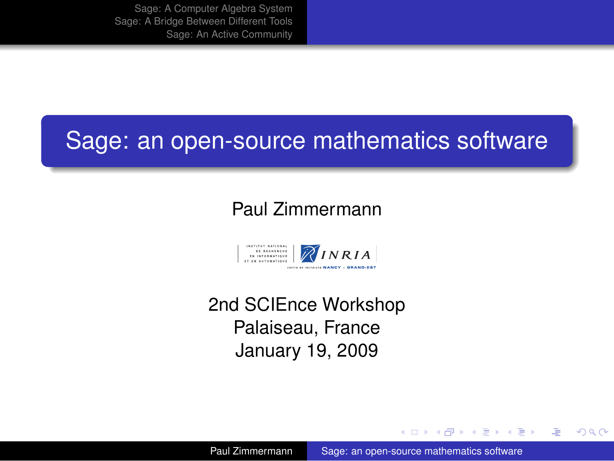# Sage: an open-source mathematics software

#### Paul Zimmermann



2nd SCIEnce Workshop Palaiseau, France January 19, 2009

イロメ イ何 メイヨメ イヨメ

净

<span id="page-0-0"></span> $QQ$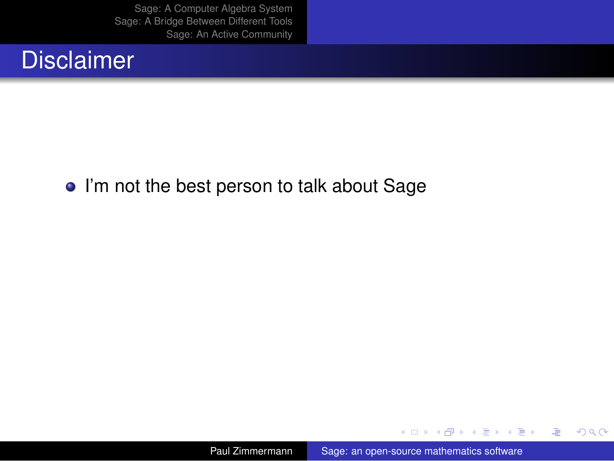#### **Disclaimer**

#### • I'm not the best person to talk about Sage

(ロ) (伊)

→ 重 > → 重 >

唐

 $299$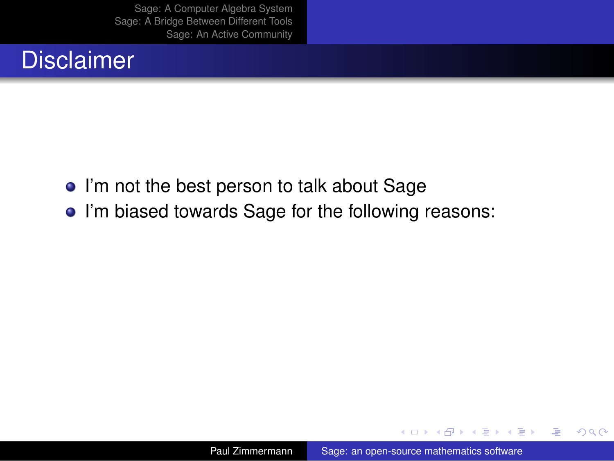## **Disclaimer**

- I'm not the best person to talk about Sage
- I'm biased towards Sage for the following reasons:

 $\leftarrow$   $\leftarrow$   $\rightarrow$ 

4 0 8

化重新润滑剂

净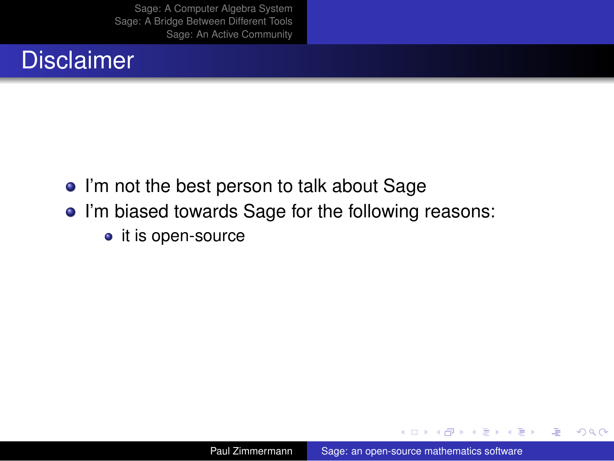## **Disclaimer**

- I'm not the best person to talk about Sage
- I'm biased towards Sage for the following reasons:
	- it is open-source

 $\leftarrow$   $\leftarrow$   $\rightarrow$ 

4 0 8

医电子 化重子

净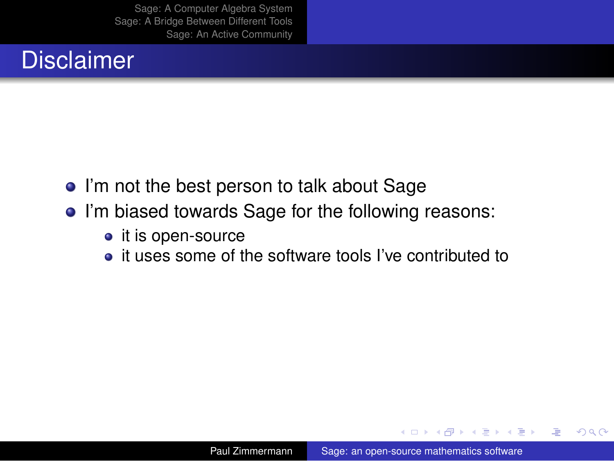## **Disclaimer**

- I'm not the best person to talk about Sage
- I'm biased towards Sage for the following reasons:
	- $\bullet$  it is open-source
	- it uses some of the software tools I've contributed to

4 0 8

 $\leftarrow$   $\leftarrow$   $\rightarrow$ 

医电子 化重子

重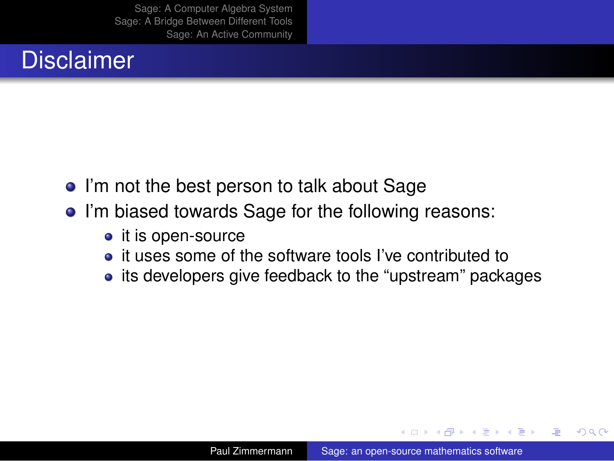# **Disclaimer**

- I'm not the best person to talk about Sage
- I'm biased towards Sage for the following reasons:
	- $\bullet$  it is open-source
	- it uses some of the software tools I've contributed to
	- its developers give feedback to the "upstream" packages

4 0 8

④ ヨ ト ④ ヨ ト

ă

 $QQ$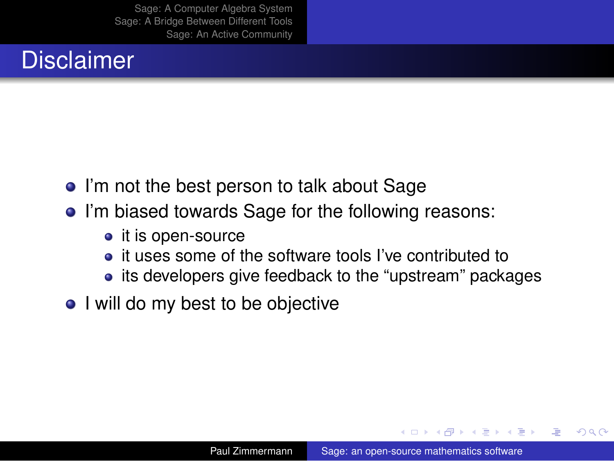# **Disclaimer**

- I'm not the best person to talk about Sage
- I'm biased towards Sage for the following reasons:
	- $\bullet$  it is open-source
	- it uses some of the software tools I've contributed to
	- its developers give feedback to the "upstream" packages
- I will do my best to be objective

化重氮化重氮

ă

 $QQ$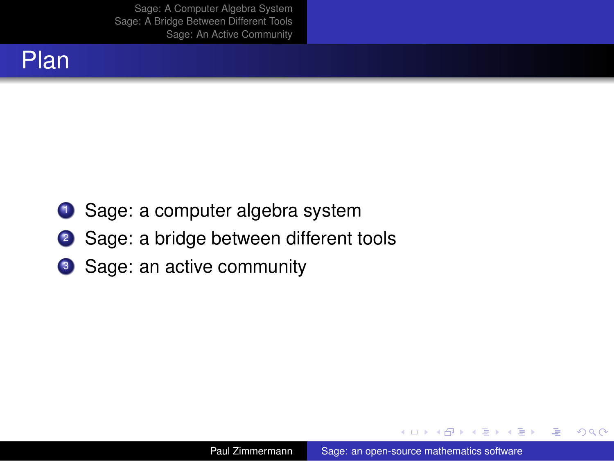

- **1** Sage: a computer algebra system
- <sup>2</sup> Sage: a bridge between different tools
- <sup>3</sup> Sage: an active community

 $A\cong \mathbb{R} \rightarrow A \cong \mathbb{R}$ 

 $\leftarrow$   $\leftarrow$   $\leftarrow$ 4 0 8

画

 $2990$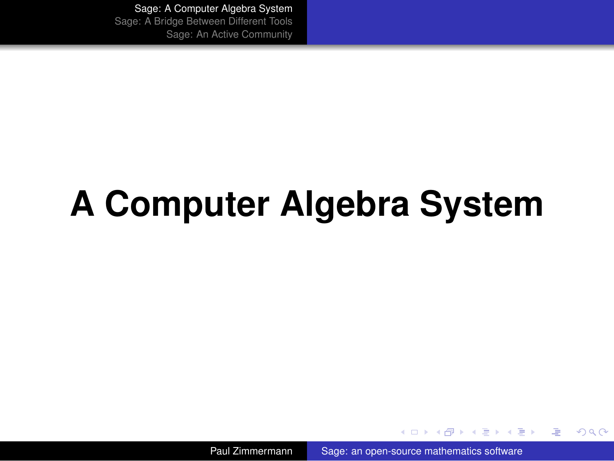# **A Computer Algebra System**

Paul Zimmermann [Sage: an open-source mathematics software](#page-0-0)

**K ロ ト K 何 ト K ヨ ト K ヨ ト** 

<span id="page-8-0"></span>重  $200$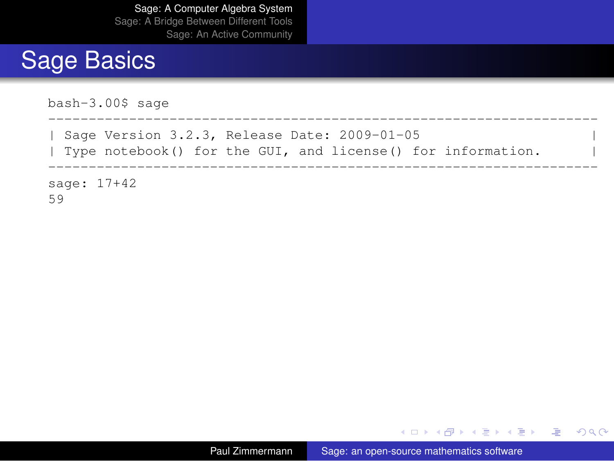#### Sage Basics

```
bash-3.00$ sage
--------------------------------------------------------------------
  Sage Version 3.2.3, Release Date: 2009-01-05
  Type notebook() for the GUI, and license() for information.
--------------------------------------------------------------------
sage: 17+42
59
```
イロン イ何 メスミンスミント ミー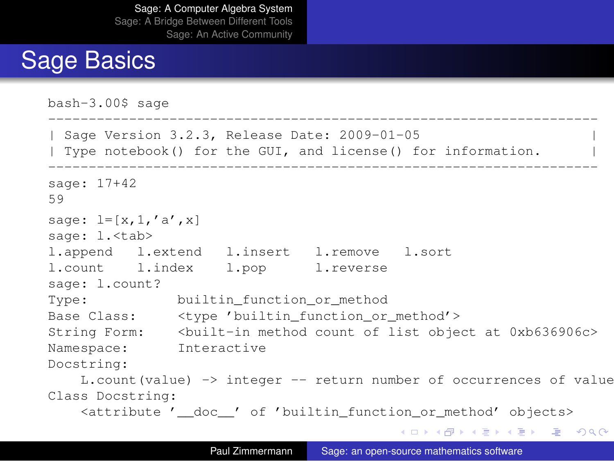## Sage Basics

```
bash-3.00$ sage
--------------------------------------------------------------------
  Sage Version 3.2.3, Release Date: 2009-01-05
| Type notebook() for the GUI, and license() for information. |
--------------------------------------------------------------------
sage: 17+42
59
sage: l=[x,1,'a',x]sage: 1.<tab>
l.append l.extend l.insert l.remove l.sort
l.count l.index l.pop l.reverse
sage: l.count?
Type: builtin function or method
Base Class: <type 'builtin function or method'>
String Form: <br/> <br/> <br/> <br/>
<br/>
<br/>
<br/>
<br/>
<br/>
<br/>
<br/>
<br/>
<br/>
<br/>
String Form: <br/>
<br/>
<br/>
<br/>
<br/>
<br/>
<br/>
<br/>
<br/>
<br/>
<br/>
<br/>
<br/>
<br/>
<br/>
<br/>
<br/>
<br/>
<br/
Namespace: Interactive
Docstring:
    L.count(value) -> integer -- return number of occurrences of value
Class Docstring:
    <attribute '__doc__' of 'builtin_function_or_method' objects>
                                                  KOD KOD KED KED E VONO
```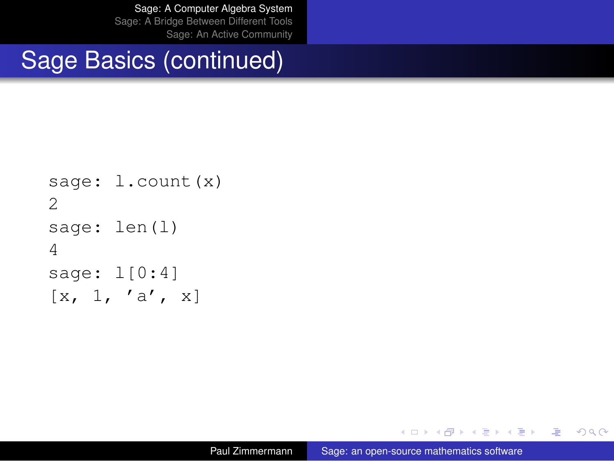#### Sage Basics (continued)

```
sage: 1. count (x)
2
sage: len(l)
4
sage: l[0:4]
\begin{bmatrix} x, 1, 'a', x \end{bmatrix}
```
K ロ ▶ K @ ▶ K 할 ▶ K 할 ▶ 그럴 → 9 Q @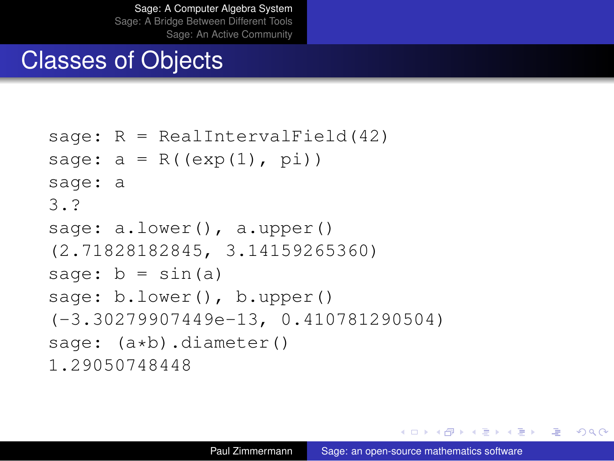#### Classes of Objects

```
sage: R = RealIntervalField(42)
sage: a = R((exp(1), pi))sage: a
3.?
sage: a.lower(), a.upper()
(2.71828182845, 3.14159265360)
sage: b = \sin(a)sage: b.lower(), b.upper()
(-3.30279907449e-13, 0.410781290504)
sage: (a * b).diameter()
1.29050748448
```
K ロ ▶ K 伊 ▶ K ヨ ▶ K ヨ ▶ 『ヨ │ め Q Q Q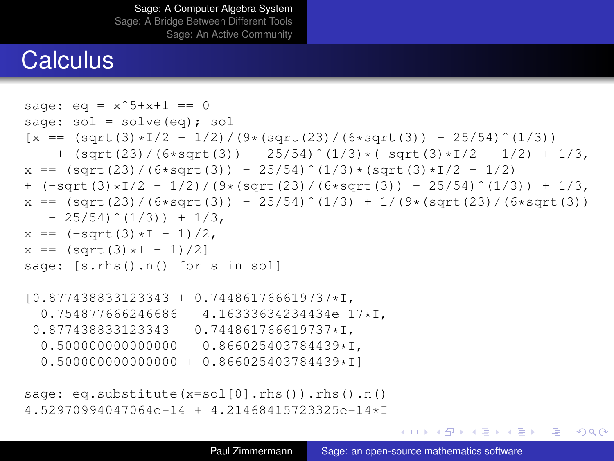#### **Calculus**

```
sage: e^{(x)} = x^5 + x + 1 = 0sage: sol = solve(eq): sol
[x == (sqrt(3) *1/2 - 1/2)/(9 * (sqrt(23) / (6 *sqrt(3)) - 25/54)^{(-1/3)})+ (sqrt(23)/(6*sqrt(3)) - 25/54)^{(1/3)*(-sqrt(3)*1/2 - 1/2) + 1/3,x == (sqrt(23)/(6*sqrt(3)) - 25/54)^(1/3)*(sqrt(3)*1/2 - 1/2)+ (-sqrt(3)*I/2 - 1/2)/(9*(sqrt(23)/(6*sqrt(3)) - 25/54)^{(1/3)}) + 1/3,x == (sqrt(23)/(6*sqrt(3)) - 25/54)^(1/3) + 1/(9*(sqrt(23)/(6*sqrt(3)))-25/54) (1/3) +1/3,
x == (-sqrt(3)*T - 1)/2.
x == (sqrt(3)*I - 1)/2]
sage: [s.rhs().n() for s in sol]
[0.877438833123343 + 0.744861766619737*I,
-0.754877666246686 - 4.16333634234434e-17 \star T.0.877438833123343 - 0.744861766619737 * I.-0.5000000000000000 - 0.866025403784439 \star I,
-0.5000000000000000 + 0.866025403784439*Tsage: eq.substitute(x=sol[0].rhs()).rhs().n()
```

```
4.52970994047064e-14 + 4.21468415723325e-14*I
```
KOD KOD KED KED E VONO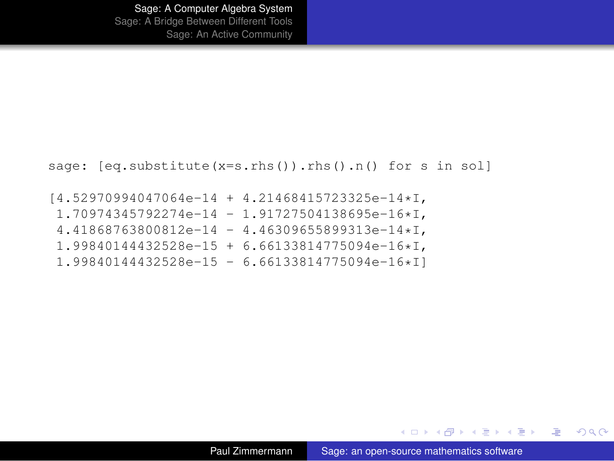```
sage: [eq.substitute(x=s.rhs()).rhs().n() for s in sol]
```
[4.52970994047064e-14 + 4.21468415723325e-14\*I, 1.70974345792274e-14 - 1.91727504138695e-16\*I,  $4.41868763800812e-14 - 4.46309655899313e-14 \star I$ , 1.99840144432528e-15 + 6.66133814775094e-16\*I, 1.99840144432528e-15 - 6.66133814775094e-16\*I]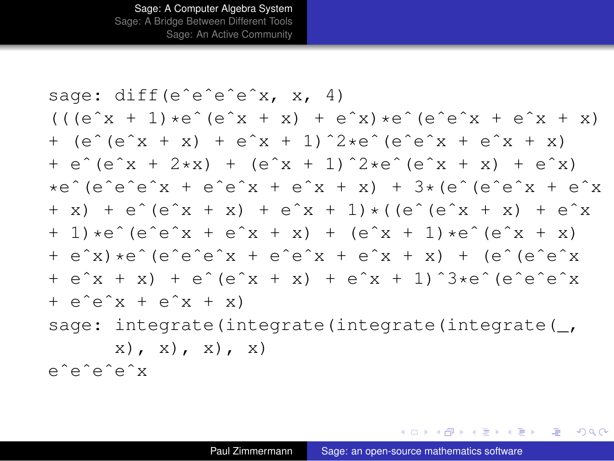sage: diff(e^e^e^e^x, x, 4)  $((e^x x + 1) *e^x (e^x x + x) + e^x x)*e^x (e^x x + e^x x + x)$  $+$  (e^(e^x + x) + e^x + 1)^2\*e^(e^e^x + e^x + x) + eˆ(eˆx + 2\*x) + (eˆx + 1)ˆ2\*eˆ(eˆx + x) + eˆx)  $*e^{\hat{}}$  (e $\hat{e}$  e $\hat{e}$  x + e^e^x + e^x + x) + 3\*(e^(e^e^x + e^x  $+ x$ ) + e $\hat{ }$  (e $\hat{ } x$  + x) + e $\hat{ } x$  + 1) \* ((e^(e^x + x) + e^x  $+ 1$ )\*e $\hat{ }$ (e $\hat{ }$ e $\hat{ }$ x + e $\hat{ }$ x + x) + (e $\hat{ }$ x + 1)\*e $\hat{ }$ (e $\hat{ }$ x + x) + eˆx)\*eˆ(eˆeˆeˆx + eˆeˆx + eˆx + x) + (eˆ(eˆeˆx + eˆx + x) + eˆ(eˆx + x) + eˆx + 1)ˆ3\*eˆ(eˆeˆeˆx  $+ e^e^x x + e^x x + x$ sage: integrate(integrate(integrate(integrate(,  $(x)$ ,  $(x)$ ,  $(x)$ ,  $(x)$ eˆeˆeˆeˆx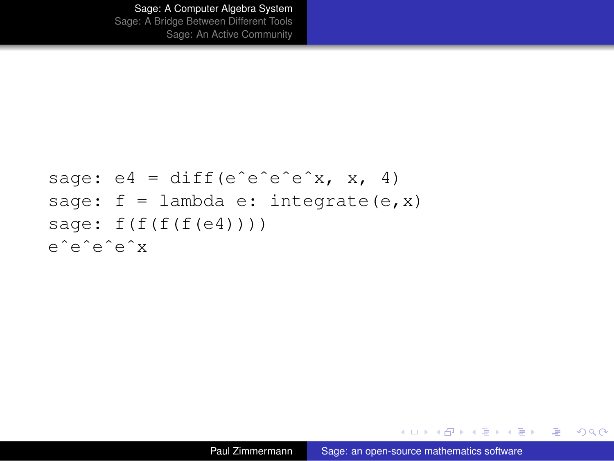```
sage: e4 = diff(e^e^e^e^e^x, x, 4)sage: f = lambda e: integrate(e, x)
sage: f(f(f(f(e4))))eˆeˆeˆeˆx
```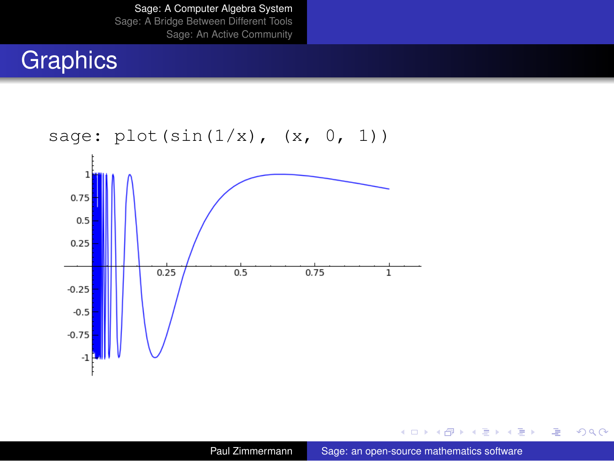# **Graphics**



**Kロト K伊 K** 

スコンスコント

● 1  $299$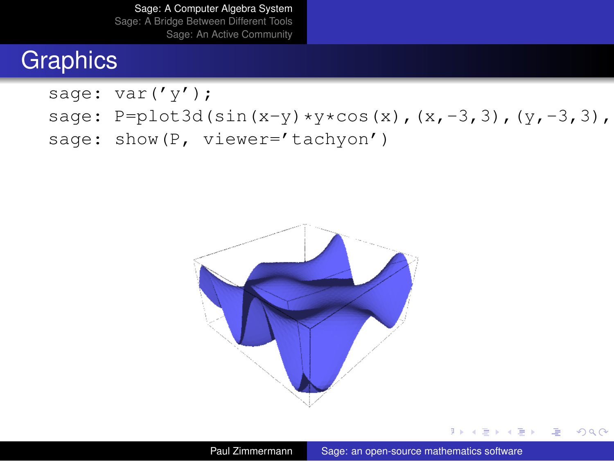#### **Graphics**

sage: var('y');

- sage: P=plot3d(sin(x-y)\*y\*cos(x),(x,-3,3),(y,-3,3),
- sage: show(P, viewer='tachyon')



D × 4 重 × 4 重 × …

(重)  $2990$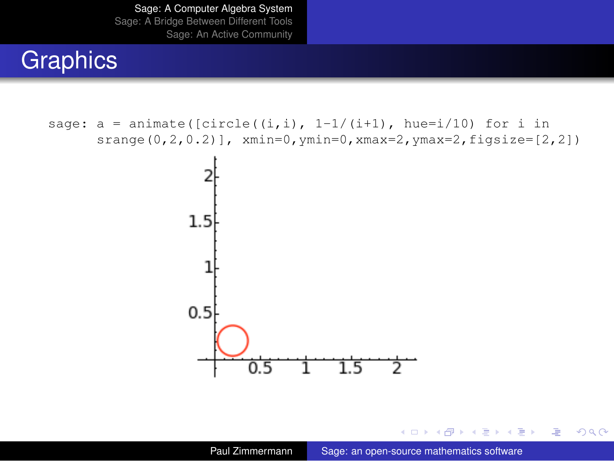#### **Graphics**

```
sage: a = animate([circle((i,i), 1-1/(i+1), hue=i/10) for i in
      srange(0, 2, 0.2)], xmin=0, ymin=0, xmax=2, ymax=2, figsize=[2, 2])2
                   1.50.50.5\overline{1.5}2
```
ミメイモメー

← 一个 → 4日下

 $\sim$ 

**B**  $2990$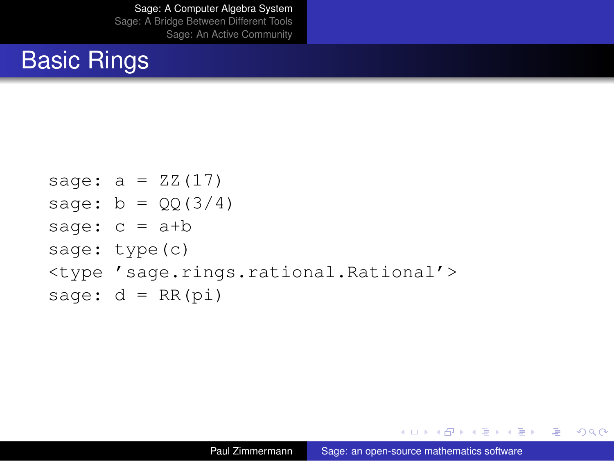# Basic Rings

```
sage: a = ZZ(17)sage: b = QQ(3/4)sage: c = a+bsage: type(c)
<type 'sage.rings.rational.Rational'>
sage: d = RR(pi)
```
KOD KOD KED KED E VONO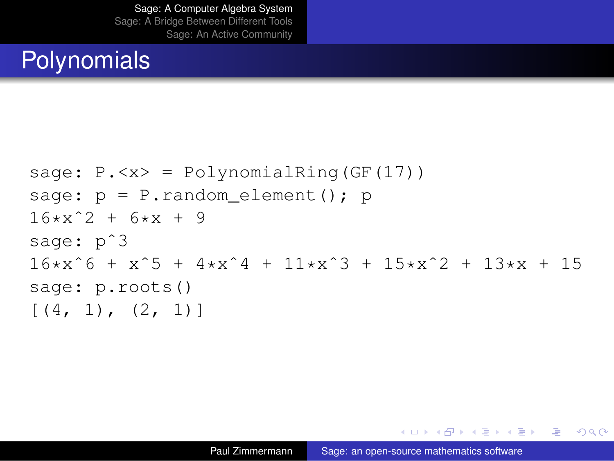#### **Polynomials**

```
sage: P \cdot \langle x \rangle = \text{PolynomialRing}(GF(17))sage: p = P.random element(); p
16*x^2 + 6*x + 9sage: p<sup>2</sup>3
16*x^6 + x^5 + 4*x^4 + 11*x^3 + 15*x^2 + 13*x + 15sage: p.roots()
[(4, 1), (2, 1)]
```
KED KAP KED KED E YORN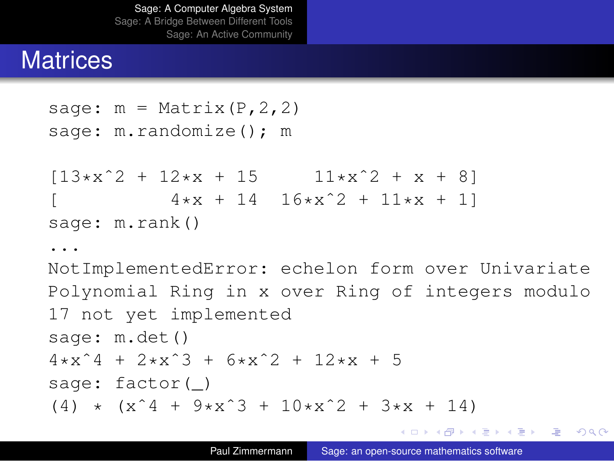#### **Matrices**

...

```
sage: m = Matrix(P, 2, 2)
sage: m.randomize(); m
[13*x^2 + 12*x + 15 11*x^2 + x + 8]4*x + 14 16*x^2 + 11*x + 1sage: m.rank()
```
NotImplementedError: echelon form over Univariate Polynomial Ring in x over Ring of integers modulo 17 not yet implemented sage: m.det()  $4*x^4 + 2*x^3 + 6*x^2 + 12*x + 5$ sage: factor()  $(4)$  \*  $(x^4 + 9*x^3 + 10*x^2 + 3*x + 14)$ 

KOD KOD KED KED E VONO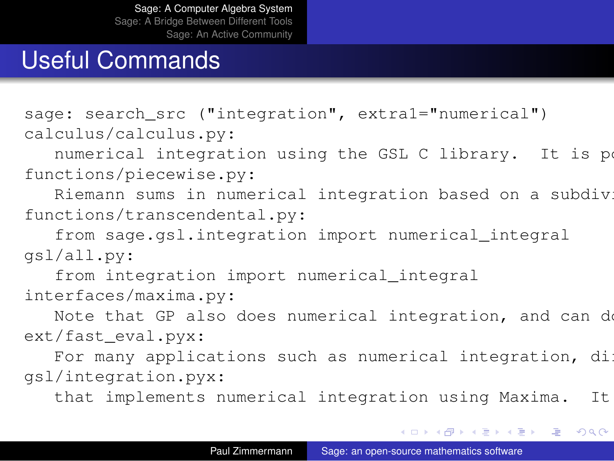#### Useful Commands

sage: search src ("integration", extra1="numerical") calculus/calculus.py:

numerical integration using the GSL C library. It is po functions/piecewise.py:

Riemann sums in numerical integration based on a subdivi functions/transcendental.py:

from sage.gsl.integration import numerical integral gsl/all.py:

from integration import numerical integral interfaces/maxima.py:

Note that GP also does numerical integration, and can do ext/fast\_eval.pyx:

For many applications such as numerical integration,  $di$ gsl/integration.pyx:

that implements numerical integration using Maxima. It

KOD KOD KED KED E VOOR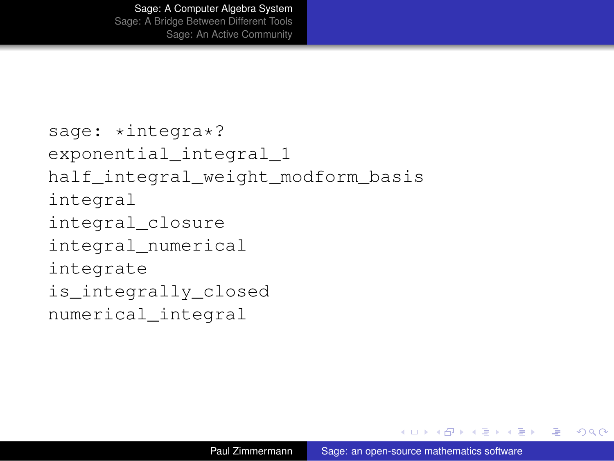```
sage: *integra*?
exponential_integral_1
half_integral_weight_modform_basis
integral
integral_closure
integral_numerical
integrate
is integrally closed
numerical_integral
```
イロト イ押 トイヨ トイヨ トー

(重)  $200$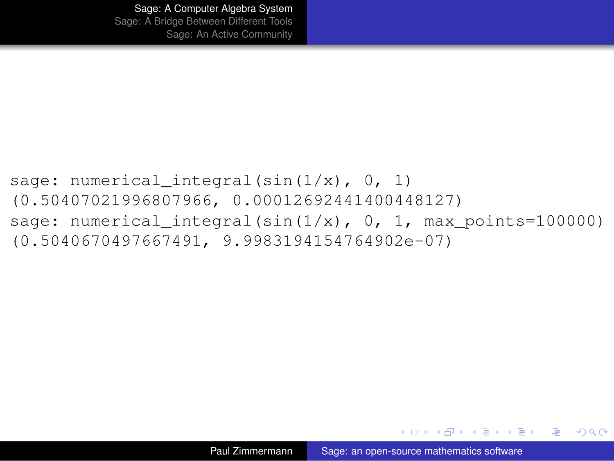```
sage: numerical integral(sin(1/x), 0, 1)
(0.50407021996807966, 0.00012692441400448127)
sage: numerical integral(sin(1/x), 0, 1, max points=100000)
(0.5040670497667491, 9.9983194154764902e-07)
```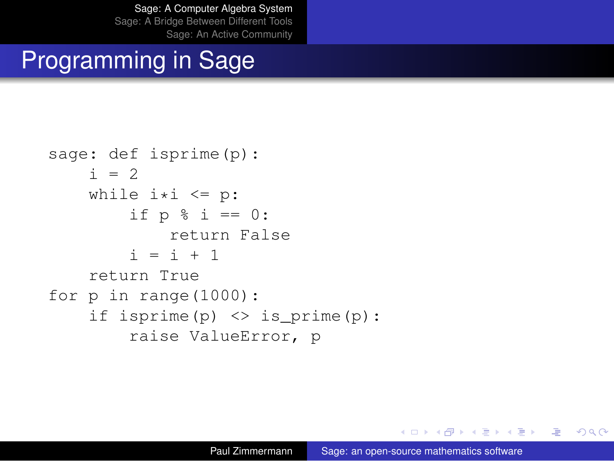# Programming in Sage

```
sage: def isprime(p):
    i = 2while i * i \leq p:
         if p % i = 0:
             return False
         i = i + 1return True
for p in range(1000):
    if isprime(p) \langle \rangle is prime(p):
         raise ValueError, p
```
KED KAPD KED KED E YORG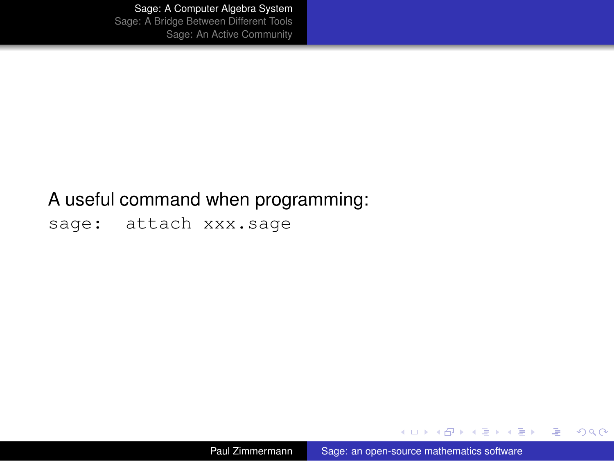#### A useful command when programming:

sage: attach xxx.sage

Paul Zimmermann [Sage: an open-source mathematics software](#page-0-0)

イロト イ団ト イヨト イヨト

<span id="page-27-0"></span> $\equiv$  990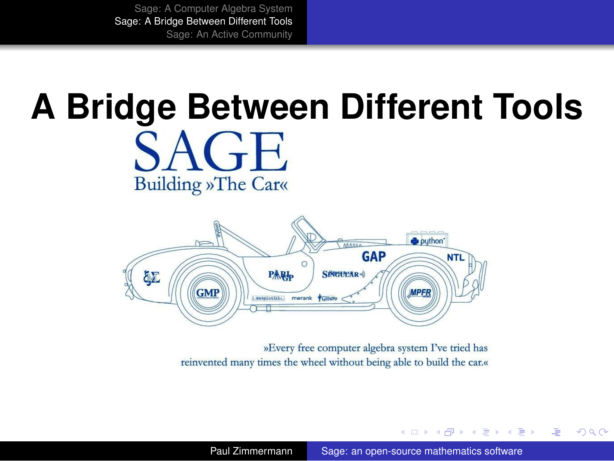**Building »The Car«** 

# **A Bridge Between Different Tools**



»Every free computer algebra system I've tried has reinvented many times the wheel without being able to build the car.«

Paul Zimmermann [Sage: an open-source mathematics software](#page-0-0)

イロメ イ何 メイヨメ イヨメ

<span id="page-28-0"></span>重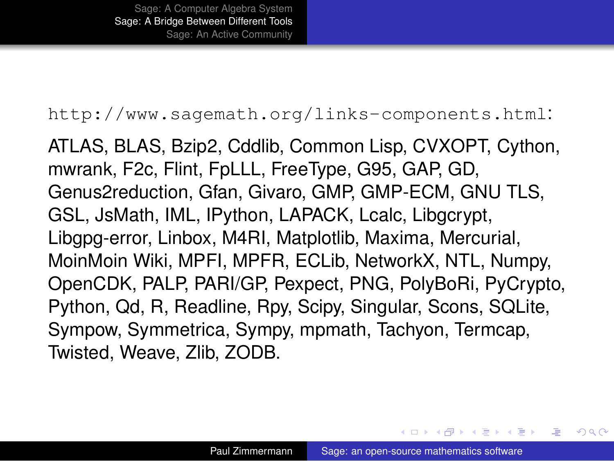#### <http://www.sagemath.org/links-components.html>:

ATLAS, BLAS, Bzip2, Cddlib, Common Lisp, CVXOPT, Cython, mwrank, F2c, Flint, FpLLL, FreeType, G95, GAP, GD, Genus2reduction, Gfan, Givaro, GMP, GMP-ECM, GNU TLS, GSL, JsMath, IML, IPython, LAPACK, Lcalc, Libgcrypt, Libgpg-error, Linbox, M4RI, Matplotlib, Maxima, Mercurial, MoinMoin Wiki, MPFI, MPFR, ECLib, NetworkX, NTL, Numpy, OpenCDK, PALP, PARI/GP, Pexpect, PNG, PolyBoRi, PyCrypto, Python, Qd, R, Readline, Rpy, Scipy, Singular, Scons, SQLite, Sympow, Symmetrica, Sympy, mpmath, Tachyon, Termcap, Twisted, Weave, Zlib, ZODB.

イロメ イ何 メイヨメ イヨメ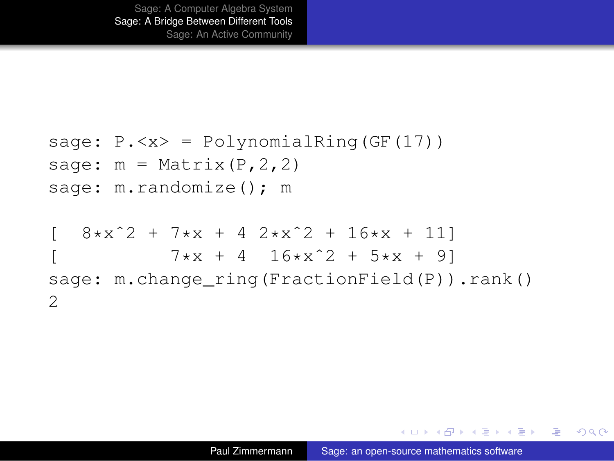```
sage: P. < x > = PolynomialRing (GF(17))
sage: m = Matrix (P, 2, 2)sage: m.randomize(); m
  8*x^2 + 7*x + 4 2*x^2 + 16*x + 117*x + 4 16*x^2 + 5*x + 9sage: m.change ring(FractionField(P)).rank()
2
```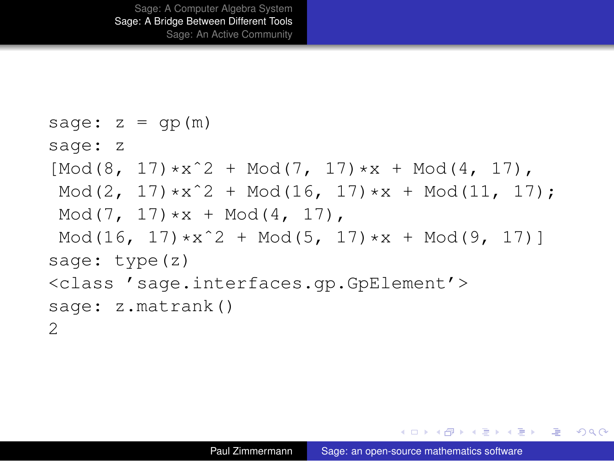```
sage: z = gp(m)sage: z
[Mod(8, 17) * x^2 + Mod(7, 17) * x + Mod(4, 17)Mod(2, 17) *x^2 + Mod(16, 17) *x + Mod(11, 17);
Mod(7, 17)*x + Mod(4, 17),
Mod(16, 17)*x^2 + Mod(5, 17)*x + Mod(9, 17)]
sage: type(z)
<class 'sage.interfaces.gp.GpElement'>
sage: z.matrank()
\mathcal{P}
```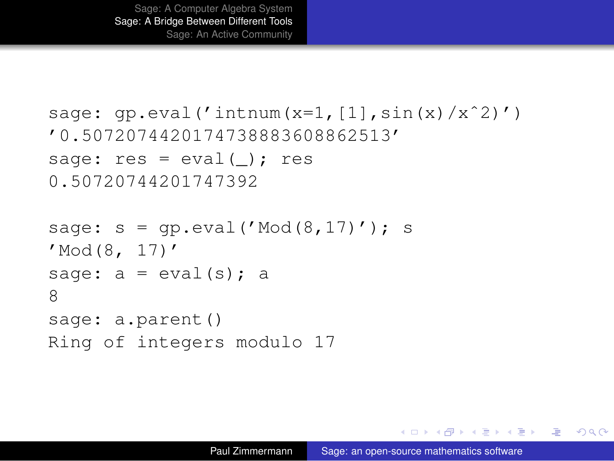```
sage: qp.event('intnum(x=1/[1],sin(x)/x^2)')'0.5072074420174738883608862513'
sage: res = eval(); res
0.50720744201747392
```

```
sage: s = qp.event('Mod(8, 17)'); s'Mod(8, 17)'
sage: a = eval(s); a
8
sage: a.parent()
Ring of integers modulo 17
```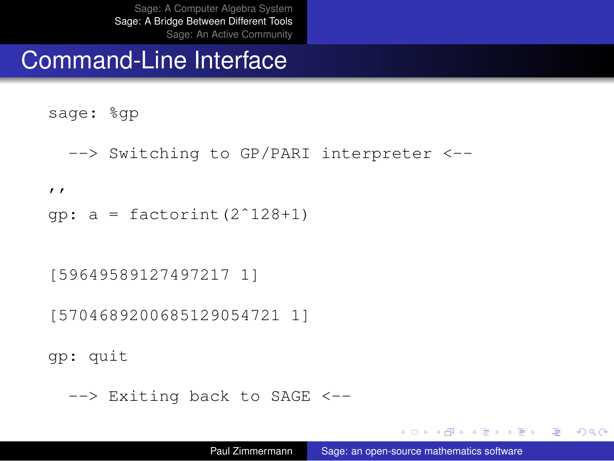#### Command-Line Interface

- sage: %gp
	- --> Switching to GP/PARI interpreter <--
- $^{\prime}$
- qp:  $a =$  factorint  $(2^1 128 + 1)$

[59649589127497217 1]

[5704689200685129054721 1]

gp: quit

--> Exiting back to SAGE <--

KOD KARD KED KED E YOKA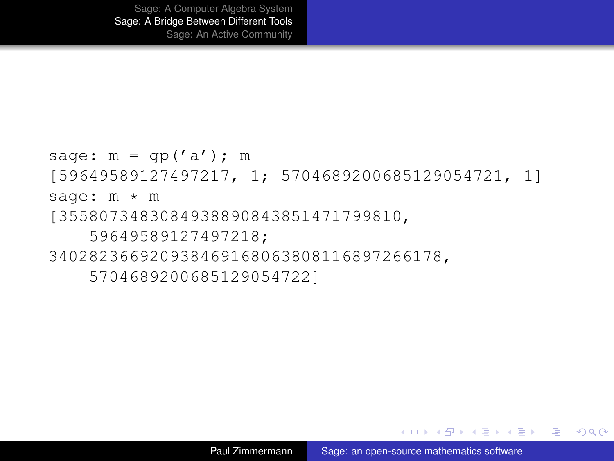```
sage: m = qp('a'); m
[59649589127497217, 1; 5704689200685129054721, 1]
sage: m * m
[3558073483084938890843851471799810,
    59649589127497218;
340282366920938469168063808116897266178,
    5704689200685129054722]
```
<span id="page-34-0"></span>KED KAP KED KED E YORN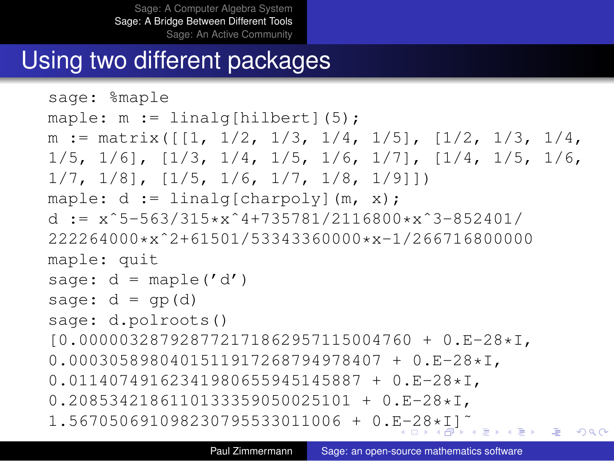# Using two different packages

```
sage: %maple
maple: m := 1inalq[hilbert](5);
m := \text{matrix}([1, 1/2, 1/3, 1/4, 1/5], [1/2, 1/3, 1/4,1/5, 1/6], [1/3, 1/4, 1/5, 1/6, 1/7], [1/4, 1/5, 1/6,
1/7, 1/8], [1/5, 1/6, 1/7, 1/8, 1/9]])
maple: d := \text{linear}[\text{charpoly}](m, x);d := x^5-563/315*x^4+735781/2116800*x^3-852401/
222264000*xˆ2+61501/53343360000*x-1/266716800000
maple: quit
sage: d = \text{maple}'(d')sage: d = qp(d)sage: d.polroots()
[0.000003287928772171862957115004760 + 0.E-28*I,
0.0003058980401511917268794978407 + 0.E-28*I,
0.01140749162341980655945145887 + 0.E-28*I,
0.2085342186110133359050025101 + 0.E-28*I,
1.567050691098230795533011006 + 0.E-28*I]˜
                                                       2Q
```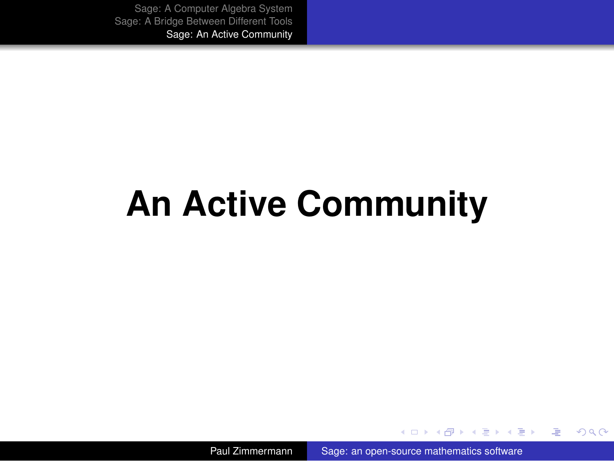# **An Active Community**

Paul Zimmermann [Sage: an open-source mathematics software](#page-0-0)

 $\left\{ \begin{array}{ccc} 1 & 0 & 0 \\ 0 & 1 & 0 \end{array} \right.$ 

画

<span id="page-36-0"></span> $2990$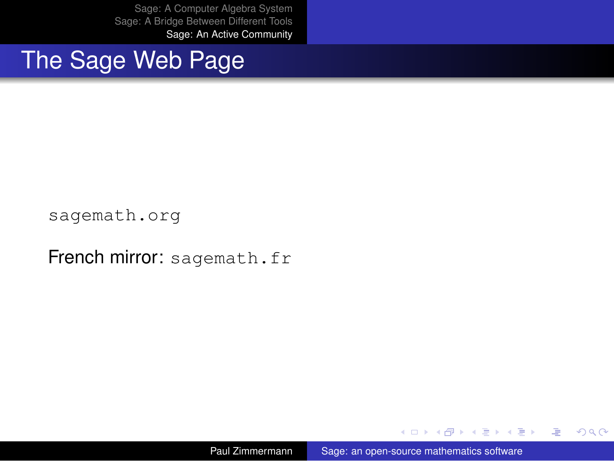The Sage Web Page

<sagemath.org>

French mirror: <sagemath.fr>

Paul Zimmermann [Sage: an open-source mathematics software](#page-0-0)

 $\left\{ \begin{array}{ccc} 1 & 0 & 0 \\ 0 & 1 & 0 \end{array} \right.$ 

画

 $2990$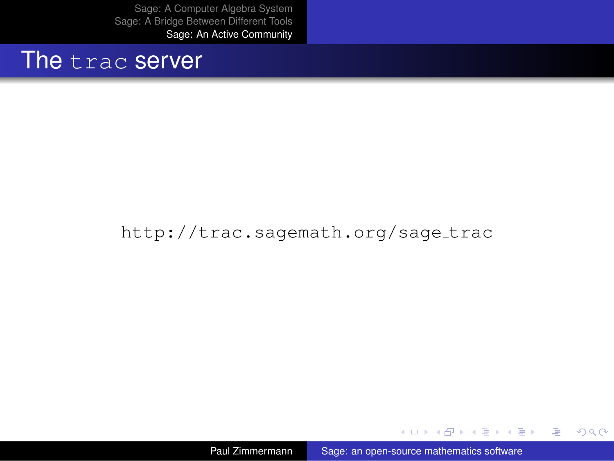#### The trac server

#### [http://trac.sagemath.org/sage](http://trac.sagemath.org/sage_trac)\_trac

Paul Zimmermann [Sage: an open-source mathematics software](#page-0-0)

イロト イ団ト イヨト イヨト

**B**  $2990$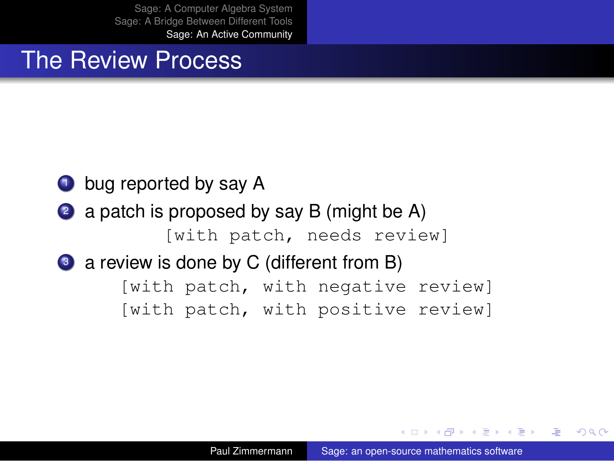#### The Review Process

#### **1** bug reported by say A

2 a patch is proposed by say B (might be A) [with patch, needs review]

#### 3 a review is done by C (different from B)

[with patch, with negative review] [with patch, with positive review]

4 0 8

医单位 医单位

净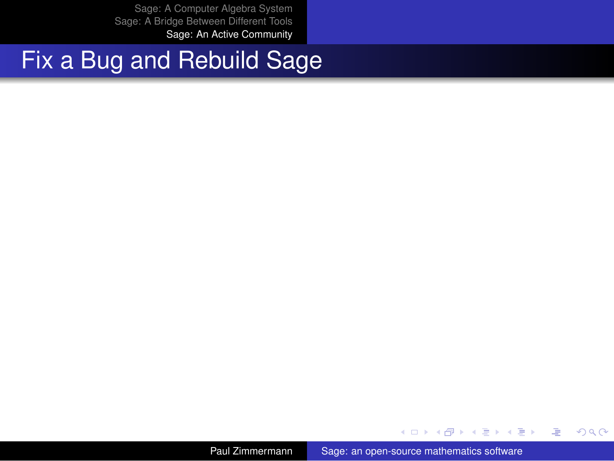# Fix a Bug and Rebuild Sage

Paul Zimmermann [Sage: an open-source mathematics software](#page-0-0)

**K ロ ト K 何 ト K ヨ ト K ヨ ト** 

€.

 $2990$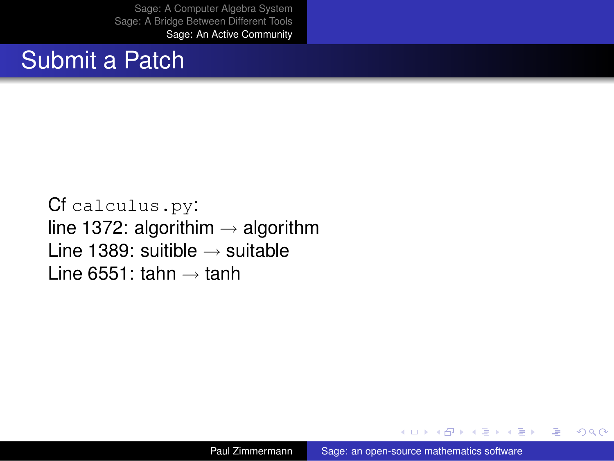## Submit a Patch

Cf calculus.py: line 1372: algorithim  $\rightarrow$  algorithm Line 1389: suitible  $\rightarrow$  suitable Line 6551: tahn  $\rightarrow$  tanh

4 0 8

 $\langle \oplus \rangle$  >  $\langle \oplus \rangle$  >  $\langle \oplus \rangle$ 

净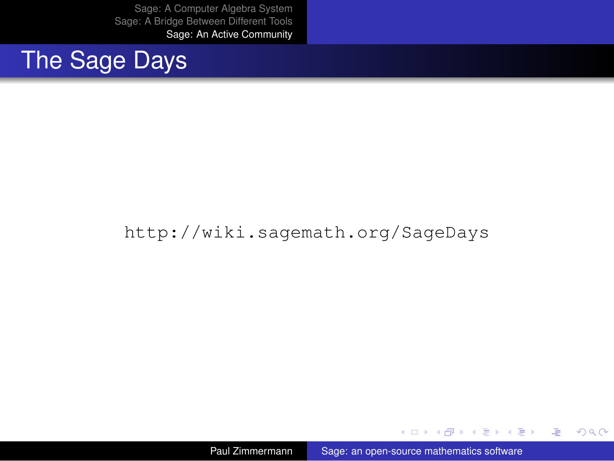# The Sage Days

#### <http://wiki.sagemath.org/SageDays>

Paul Zimmermann [Sage: an open-source mathematics software](#page-0-0)

イロメ イ伊 メイヨメイヨメー

● 1  $2990$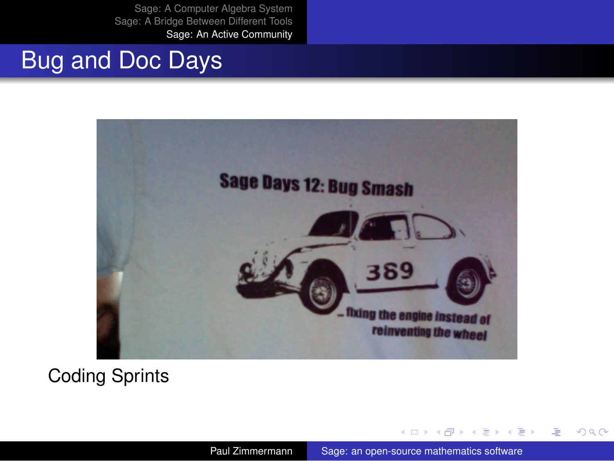## Bug and Doc Days



Coding Sprints

Paul Zimmermann [Sage: an open-source mathematics software](#page-0-0)

← 伊 ト

→ 重き ×.  $\rightarrow$ 

4 0 8

画

B

 $2990$